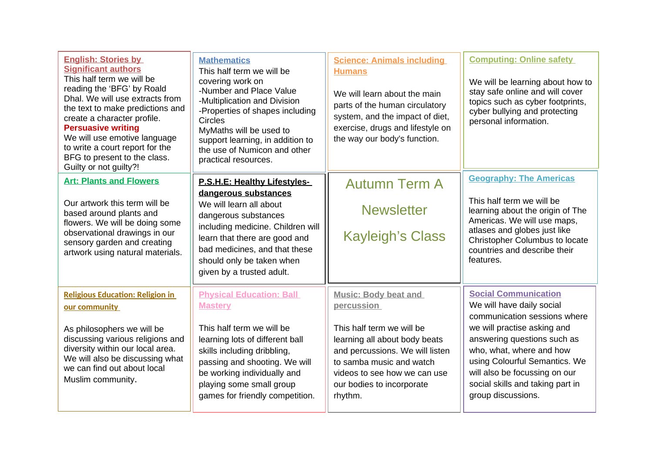| <b>English: Stories by</b><br><b>Significant authors</b><br>This half term we will be<br>reading the 'BFG' by Roald<br>Dhal. We will use extracts from<br>the text to make predictions and<br>create a character profile.<br><b>Persuasive writing</b><br>We will use emotive language<br>to write a court report for the<br>BFG to present to the class.<br>Guilty or not guilty?! | <b>Mathematics</b><br>This half term we will be<br>covering work on<br>-Number and Place Value<br>-Multiplication and Division<br>-Properties of shapes including<br><b>Circles</b><br>MyMaths will be used to<br>support learning, in addition to<br>the use of Numicon and other<br>practical resources. | <b>Science: Animals including</b><br><b>Humans</b><br>We will learn about the main<br>parts of the human circulatory<br>system, and the impact of diet,<br>exercise, drugs and lifestyle on<br>the way our body's function.                    | <b>Computing: Online safety</b><br>We will be learning about how to<br>stay safe online and will cover<br>topics such as cyber footprints,<br>cyber bullying and protecting<br>personal information.                                                                                                           |
|-------------------------------------------------------------------------------------------------------------------------------------------------------------------------------------------------------------------------------------------------------------------------------------------------------------------------------------------------------------------------------------|------------------------------------------------------------------------------------------------------------------------------------------------------------------------------------------------------------------------------------------------------------------------------------------------------------|------------------------------------------------------------------------------------------------------------------------------------------------------------------------------------------------------------------------------------------------|----------------------------------------------------------------------------------------------------------------------------------------------------------------------------------------------------------------------------------------------------------------------------------------------------------------|
| <b>Art: Plants and Flowers</b><br>Our artwork this term will be<br>based around plants and<br>flowers. We will be doing some<br>observational drawings in our<br>sensory garden and creating<br>artwork using natural materials.                                                                                                                                                    | <b>P.S.H.E: Healthy Lifestyles-</b><br>dangerous substances<br>We will learn all about<br>dangerous substances<br>including medicine. Children will<br>learn that there are good and<br>bad medicines, and that these<br>should only be taken when<br>given by a trusted adult.                            | <b>Autumn Term A</b><br><b>Newsletter</b><br><b>Kayleigh's Class</b>                                                                                                                                                                           | <b>Geography: The Americas</b><br>This half term we will be<br>learning about the origin of The<br>Americas. We will use maps,<br>atlases and globes just like<br>Christopher Columbus to locate<br>countries and describe their<br>features.                                                                  |
| <b>Religious Education: Religion in</b><br>our community<br>As philosophers we will be<br>discussing various religions and<br>diversity within our local area.<br>We will also be discussing what<br>we can find out about local<br>Muslim community.                                                                                                                               | <b>Physical Education: Ball</b><br><b>Mastery</b><br>This half term we will be<br>learning lots of different ball<br>skills including dribbling,<br>passing and shooting. We will<br>be working individually and<br>playing some small group<br>games for friendly competition.                            | <b>Music: Body beat and</b><br>percussion<br>This half term we will be<br>learning all about body beats<br>and percussions. We will listen<br>to samba music and watch<br>videos to see how we can use<br>our bodies to incorporate<br>rhythm. | <b>Social Communication</b><br>We will have daily social<br>communication sessions where<br>we will practise asking and<br>answering questions such as<br>who, what, where and how<br>using Colourful Semantics. We<br>will also be focussing on our<br>social skills and taking part in<br>group discussions. |